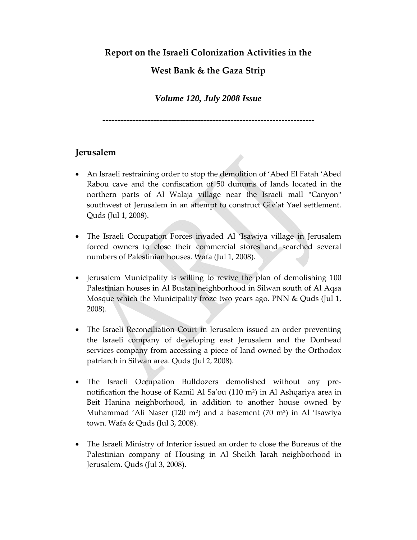### **Report on the Israeli Colonization Activities in the**

## **West Bank & the Gaza Strip**

### *Volume 120, July 2008 Issue*

‐‐‐‐‐‐‐‐‐‐‐‐‐‐‐‐‐‐‐‐‐‐‐‐‐‐‐‐‐‐‐‐‐‐‐‐‐‐‐‐‐‐‐‐‐‐‐‐‐‐‐‐‐‐‐‐‐‐‐‐‐‐‐‐‐‐‐‐‐‐‐

### **Jerusalem**

- An Israeli restraining order to stop the demolition of 'Abed El Fatah 'Abed Rabou cave and the confiscation of 50 dunums of lands located in the northern parts of Al Walaja village near the Israeli mall "Canyon" southwest of Jerusalem in an attempt to construct Giv'at Yael settlement. Quds (Jul 1, 2008).
- The Israeli Occupation Forces invaded Al 'Isawiya village in Jerusalem forced owners to close their commercial stores and searched several numbers of Palestinian houses. Wafa (Jul 1, 2008).
- Jerusalem Municipality is willing to revive the plan of demolishing 100 Palestinian houses in Al Bustan neighborhood in Silwan south of Al Aqsa Mosque which the Municipality froze two years ago. PNN & Quds (Jul 1, 2008).
- The Israeli Reconciliation Court in Jerusalem issued an order preventing the Israeli company of developing east Jerusalem and the Donhead services company from accessing a piece of land owned by the Orthodox patriarch in Silwan area. Quds (Jul 2, 2008).
- The Israeli Occupation Bulldozers demolished without any pre‐ notification the house of Kamil Al Sa'ou (110 m²) in Al Ashqariya area in Beit Hanina neighborhood, in addition to another house owned by Muhammad 'Ali Naser (120 m²) and a basement (70 m²) in Al 'Isawiya town. Wafa & Quds (Jul 3, 2008).
- The Israeli Ministry of Interior issued an order to close the Bureaus of the Palestinian company of Housing in Al Sheikh Jarah neighborhood in Jerusalem. Quds (Jul 3, 2008).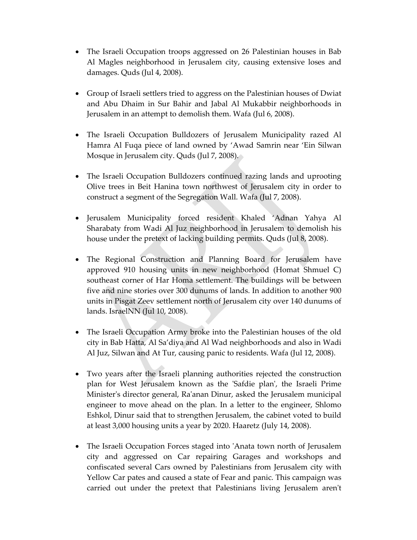- The Israeli Occupation troops aggressed on 26 Palestinian houses in Bab Al Magles neighborhood in Jerusalem city, causing extensive loses and damages. Quds (Jul 4, 2008).
- Group of Israeli settlers tried to aggress on the Palestinian houses of Dwiat and Abu Dhaim in Sur Bahir and Jabal Al Mukabbir neighborhoods in Jerusalem in an attempt to demolish them. Wafa (Jul 6, 2008).
- The Israeli Occupation Bulldozers of Jerusalem Municipality razed Al Hamra Al Fuqa piece of land owned by 'Awad Samrin near 'Ein Silwan Mosque in Jerusalem city. Quds (Jul 7, 2008).
- The Israeli Occupation Bulldozers continued razing lands and uprooting Olive trees in Beit Hanina town northwest of Jerusalem city in order to construct a segment of the Segregation Wall. Wafa (Jul 7, 2008).
- Jerusalem Municipality forced resident Khaled 'Adnan Yahya Al Sharabaty from Wadi Al Juz neighborhood in Jerusalem to demolish his house under the pretext of lacking building permits. Quds (Jul 8, 2008).
- The Regional Construction and Planning Board for Jerusalem have approved 910 housing units in new neighborhood (Homat Shmuel C) southeast corner of Har Homa settlement. The buildings will be between five and nine stories over 300 dunums of lands. In addition to another 900 units in Pisgat Zeev settlement north of Jerusalem city over 140 dunums of lands. IsraelNN (Jul 10, 2008).
- The Israeli Occupation Army broke into the Palestinian houses of the old city in Bab Hatta, Al Sa'diya and Al Wad neighborhoods and also in Wadi Al Juz, Silwan and At Tur, causing panic to residents. Wafa (Jul 12, 2008).
- Two years after the Israeli planning authorities rejected the construction plan for West Jerusalem known as the ʹSafdie planʹ, the Israeli Prime Ministerʹs director general, Raʹanan Dinur, asked the Jerusalem municipal engineer to move ahead on the plan. In a letter to the engineer, Shlomo Eshkol, Dinur said that to strengthen Jerusalem, the cabinet voted to build at least 3,000 housing units a year by 2020. Haaretz (July 14, 2008).
- The Israeli Occupation Forces staged into 'Anata town north of Jerusalem city and aggressed on Car repairing Garages and workshops and confiscated several Cars owned by Palestinians from Jerusalem city with Yellow Car pates and caused a state of Fear and panic. This campaign was carried out under the pretext that Palestinians living Jerusalem arenʹt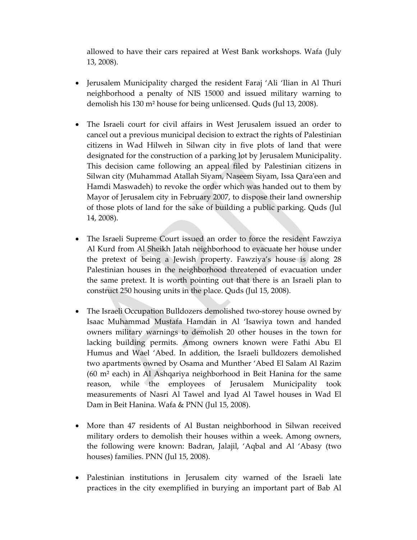allowed to have their cars repaired at West Bank workshops. Wafa (July 13, 2008).

- Jerusalem Municipality charged the resident Faraj 'Ali 'Ilian in Al Thuri neighborhood a penalty of NIS 15000 and issued military warning to demolish his 130 m² house for being unlicensed. Quds (Jul 13, 2008).
- The Israeli court for civil affairs in West Jerusalem issued an order to cancel out a previous municipal decision to extract the rights of Palestinian citizens in Wad Hilweh in Silwan city in five plots of land that were designated for the construction of a parking lot by Jerusalem Municipality. This decision came following an appeal filed by Palestinian citizens in Silwan city (Muhammad Atallah Siyam, Naseem Siyam, Issa Qaraʹeen and Hamdi Maswadeh) to revoke the order which was handed out to them by Mayor of Jerusalem city in February 2007, to dispose their land ownership of those plots of land for the sake of building a public parking. Quds (Jul 14, 2008).
- The Israeli Supreme Court issued an order to force the resident Fawziya Al Kurd from Al Sheikh Jatah neighborhood to evacuate her house under the pretext of being a Jewish property. Fawziya's house is along 28 Palestinian houses in the neighborhood threatened of evacuation under the same pretext. It is worth pointing out that there is an Israeli plan to construct 250 housing units in the place. Quds (Jul 15, 2008).
- The Israeli Occupation Bulldozers demolished two-storey house owned by Isaac Muhammad Mustafa Hamdan in Al 'Isawiya town and handed owners military warnings to demolish 20 other houses in the town for lacking building permits. Among owners known were Fathi Abu El Humus and Wael 'Abed. In addition, the Israeli bulldozers demolished two apartments owned by Osama and Munther 'Abed El Salam Al Razim (60 m² each) in Al Ashqariya neighborhood in Beit Hanina for the same reason, while the employees of Jerusalem Municipality took measurements of Nasri Al Tawel and Iyad Al Tawel houses in Wad El Dam in Beit Hanina. Wafa & PNN (Jul 15, 2008).
- More than 47 residents of Al Bustan neighborhood in Silwan received military orders to demolish their houses within a week. Among owners, the following were known: Badran, Jalajil, 'Aqbal and Al 'Abasy (two houses) families. PNN (Jul 15, 2008).
- Palestinian institutions in Jerusalem city warned of the Israeli late practices in the city exemplified in burying an important part of Bab Al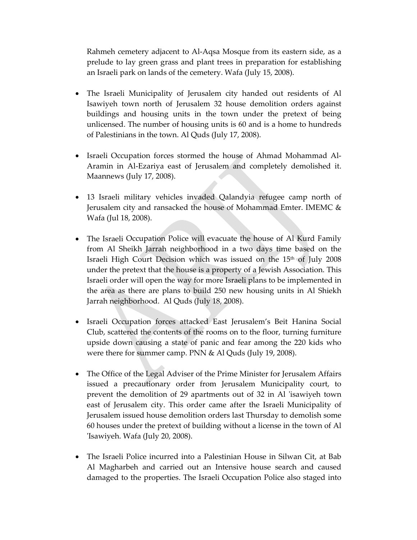Rahmeh cemetery adjacent to Al‐Aqsa Mosque from its eastern side, as a prelude to lay green grass and plant trees in preparation for establishing an Israeli park on lands of the cemetery. Wafa (July 15, 2008).

- The Israeli Municipality of Jerusalem city handed out residents of Al Isawiyeh town north of Jerusalem 32 house demolition orders against buildings and housing units in the town under the pretext of being unlicensed. The number of housing units is 60 and is a home to hundreds of Palestinians in the town. Al Quds (July 17, 2008).
- Israeli Occupation forces stormed the house of Ahmad Mohammad Al‐ Aramin in Al‐Ezariya east of Jerusalem and completely demolished it. Maannews (July 17, 2008).
- 13 Israeli military vehicles invaded Qalandyia refugee camp north of Jerusalem city and ransacked the house of Mohammad Emter. IMEMC & Wafa (Jul 18, 2008).
- The Israeli Occupation Police will evacuate the house of Al Kurd Family from Al Sheikh Jarrah neighborhood in a two days time based on the Israeli High Court Decision which was issued on the 15<sup>th</sup> of July 2008 under the pretext that the house is a property of a Jewish Association. This Israeli order will open the way for more Israeli plans to be implemented in the area as there are plans to build 250 new housing units in Al Shiekh Jarrah neighborhood. Al Quds (July 18, 2008).
- Israeli Occupation forces attacked East Jerusalem's Beit Hanina Social Club, scattered the contents of the rooms on to the floor, turning furniture upside down causing a state of panic and fear among the 220 kids who were there for summer camp. PNN & Al Quds (July 19, 2008).
- The Office of the Legal Adviser of the Prime Minister for Jerusalem Affairs issued a precautionary order from Jerusalem Municipality court, to prevent the demolition of 29 apartments out of 32 in Al ʹisawiyeh town east of Jerusalem city. This order came after the Israeli Municipality of Jerusalem issued house demolition orders last Thursday to demolish some 60 houses under the pretext of building without a license in the town of Al ʹIsawiyeh. Wafa (July 20, 2008).
- The Israeli Police incurred into a Palestinian House in Silwan Cit, at Bab Al Magharbeh and carried out an Intensive house search and caused damaged to the properties. The Israeli Occupation Police also staged into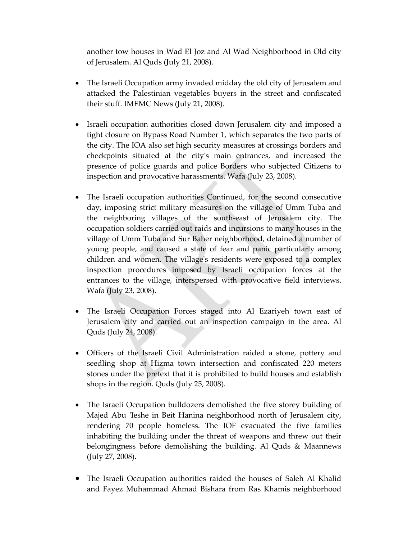another tow houses in Wad El Joz and Al Wad Neighborhood in Old city of Jerusalem. Al Quds (July 21, 2008).

- The Israeli Occupation army invaded midday the old city of Jerusalem and attacked the Palestinian vegetables buyers in the street and confiscated their stuff. IMEMC News (July 21, 2008).
- Israeli occupation authorities closed down Jerusalem city and imposed a tight closure on Bypass Road Number 1, which separates the two parts of the city. The IOA also set high security measures at crossings borders and checkpoints situated at the cityʹs main entrances, and increased the presence of police guards and police Borders who subjected Citizens to inspection and provocative harassments. Wafa (July 23, 2008).
- The Israeli occupation authorities Continued, for the second consecutive day, imposing strict military measures on the village of Umm Tuba and the neighboring villages of the south‐east of Jerusalem city. The occupation soldiers carried out raids and incursions to many houses in the village of Umm Tuba and Sur Baher neighborhood, detained a number of young people, and caused a state of fear and panic particularly among children and women. The villageʹs residents were exposed to a complex inspection procedures imposed by Israeli occupation forces at the entrances to the village, interspersed with provocative field interviews. Wafa (July 23, 2008).
- The Israeli Occupation Forces staged into Al Ezariyeh town east of Jerusalem city and carried out an inspection campaign in the area. Al Quds (July 24, 2008).
- Officers of the Israeli Civil Administration raided a stone, pottery and seedling shop at Hizma town intersection and confiscated 220 meters stones under the pretext that it is prohibited to build houses and establish shops in the region. Quds (July 25, 2008).
- The Israeli Occupation bulldozers demolished the five storey building of Majed Abu 'Ieshe in Beit Hanina neighborhood north of Jerusalem city, rendering 70 people homeless. The IOF evacuated the five families inhabiting the building under the threat of weapons and threw out their belongingness before demolishing the building. Al Quds & Maannews (July 27, 2008).
- The Israeli Occupation authorities raided the houses of Saleh Al Khalid and Fayez Muhammad Ahmad Bishara from Ras Khamis neighborhood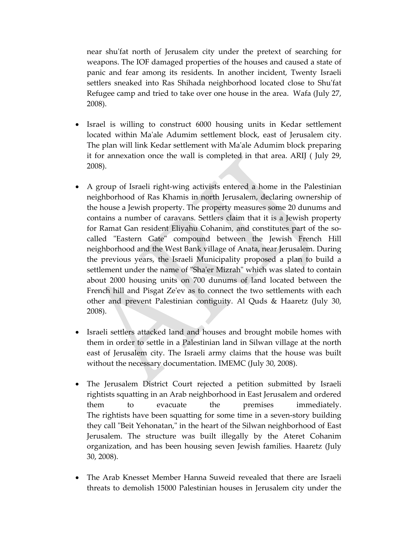near shuʹfat north of Jerusalem city under the pretext of searching for weapons. The IOF damaged properties of the houses and caused a state of panic and fear among its residents. In another incident, Twenty Israeli settlers sneaked into Ras Shihada neighborhood located close to Shu'fat Refugee camp and tried to take over one house in the area. Wafa (July 27, 2008).

- Israel is willing to construct 6000 housing units in Kedar settlement located within Maʹale Adumim settlement block, east of Jerusalem city. The plan will link Kedar settlement with Maʹale Adumim block preparing it for annexation once the wall is completed in that area. ARIJ ( July 29, 2008).
- A group of Israeli right-wing activists entered a home in the Palestinian neighborhood of Ras Khamis in north Jerusalem, declaring ownership of the house a Jewish property. The property measures some 20 dunums and contains a number of caravans. Settlers claim that it is a Jewish property for Ramat Gan resident Eliyahu Cohanim, and constitutes part of the socalled "Eastern Gate" compound between the Jewish French Hill neighborhood and the West Bank village of Anata, near Jerusalem. During the previous years, the Israeli Municipality proposed a plan to build a settlement under the name of "Sha'er Mizrah" which was slated to contain about 2000 housing units on 700 dunums of land located between the French hill and Pisgat Zeʹev as to connect the two settlements with each other and prevent Palestinian contiguity. Al Quds & Haaretz (July 30, 2008).
- Israeli settlers attacked land and houses and brought mobile homes with them in order to settle in a Palestinian land in Silwan village at the north east of Jerusalem city. The Israeli army claims that the house was built without the necessary documentation. IMEMC (July 30, 2008).
- The Jerusalem District Court rejected a petition submitted by Israeli rightists squatting in an Arab neighborhood in East Jerusalem and ordered them to evacuate the premises immediately. The rightists have been squatting for some time in a seven-story building they call "Beit Yehonatan," in the heart of the Silwan neighborhood of East Jerusalem. The structure was built illegally by the Ateret Cohanim organization, and has been housing seven Jewish families. Haaretz (July 30, 2008).
- The Arab Knesset Member Hanna Suweid revealed that there are Israeli threats to demolish 15000 Palestinian houses in Jerusalem city under the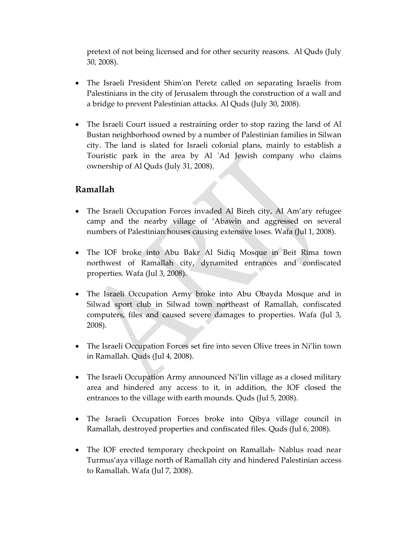pretext of not being licensed and for other security reasons. Al Quds (July 30, 2008).

- The Israeli President Shim'on Peretz called on separating Israelis from Palestinians in the city of Jerusalem through the construction of a wall and a bridge to prevent Palestinian attacks. Al Quds (July 30, 2008).
- The Israeli Court issued a restraining order to stop razing the land of Al Bustan neighborhood owned by a number of Palestinian families in Silwan city. The land is slated for Israeli colonial plans, mainly to establish a Touristic park in the area by Al 'Ad Jewish company who claims ownership of Al Quds (July 31, 2008).

### **Ramallah**

- The Israeli Occupation Forces invaded Al Bireh city, Al Am'ary refugee camp and the nearby village of 'Abawin and aggressed on several numbers of Palestinian houses causing extensive loses. Wafa (Jul 1, 2008).
- The IOF broke into Abu Bakr Al Sidiq Mosque in Beit Rima town northwest of Ramallah city, dynamited entrances and confiscated properties. Wafa (Jul 3, 2008).
- The Israeli Occupation Army broke into Abu Obayda Mosque and in Silwad sport club in Silwad town northeast of Ramallah, confiscated computers, files and caused severe damages to properties. Wafa (Jul 3, 2008).
- The Israeli Occupation Forces set fire into seven Olive trees in Ni'lin town in Ramallah. Quds (Jul 4, 2008).
- The Israeli Occupation Army announced Ni'lin village as a closed military area and hindered any access to it, in addition, the IOF closed the entrances to the village with earth mounds. Quds (Jul 5, 2008).
- The Israeli Occupation Forces broke into Qibya village council in Ramallah, destroyed properties and confiscated files. Quds (Jul 6, 2008).
- The IOF erected temporary checkpoint on Ramallah– Nablus road near Turmus'aya village north of Ramallah city and hindered Palestinian access to Ramallah. Wafa (Jul 7, 2008).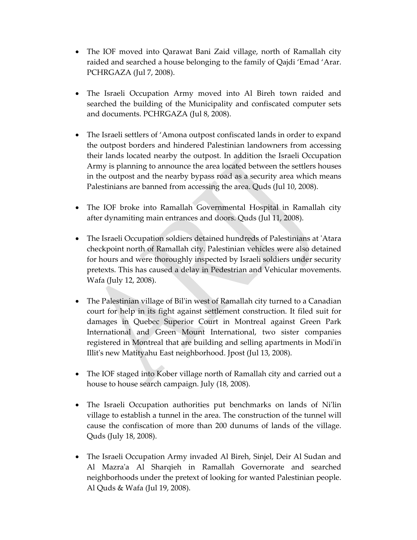- The IOF moved into Qarawat Bani Zaid village, north of Ramallah city raided and searched a house belonging to the family of Qajdi 'Emad 'Arar. PCHRGAZA (Jul 7, 2008).
- The Israeli Occupation Army moved into Al Bireh town raided and searched the building of the Municipality and confiscated computer sets and documents. PCHRGAZA (Jul 8, 2008).
- The Israeli settlers of 'Amona outpost confiscated lands in order to expand the outpost borders and hindered Palestinian landowners from accessing their lands located nearby the outpost. In addition the Israeli Occupation Army is planning to announce the area located between the settlers houses in the outpost and the nearby bypass road as a security area which means Palestinians are banned from accessing the area. Quds (Jul 10, 2008).
- The IOF broke into Ramallah Governmental Hospital in Ramallah city after dynamiting main entrances and doors. Quds (Jul 11, 2008).
- The Israeli Occupation soldiers detained hundreds of Palestinians at 'Atara checkpoint north of Ramallah city. Palestinian vehicles were also detained for hours and were thoroughly inspected by Israeli soldiers under security pretexts. This has caused a delay in Pedestrian and Vehicular movements. Wafa (July 12, 2008).
- The Palestinian village of Bil'in west of Ramallah city turned to a Canadian court for help in its fight against settlement construction. It filed suit for damages in Quebec Superior Court in Montreal against Green Park International and Green Mount International, two sister companies registered in Montreal that are building and selling apartments in Modiʹin Illitʹs new Matityahu East neighborhood. Jpost (Jul 13, 2008).
- The IOF staged into Kober village north of Ramallah city and carried out a house to house search campaign. July (18, 2008).
- The Israeli Occupation authorities put benchmarks on lands of Nilin village to establish a tunnel in the area. The construction of the tunnel will cause the confiscation of more than 200 dunums of lands of the village. Quds (July 18, 2008).
- The Israeli Occupation Army invaded Al Bireh, Sinjel, Deir Al Sudan and Al Mazraʹa Al Sharqieh in Ramallah Governorate and searched neighborhoods under the pretext of looking for wanted Palestinian people. Al Quds & Wafa (Jul 19, 2008).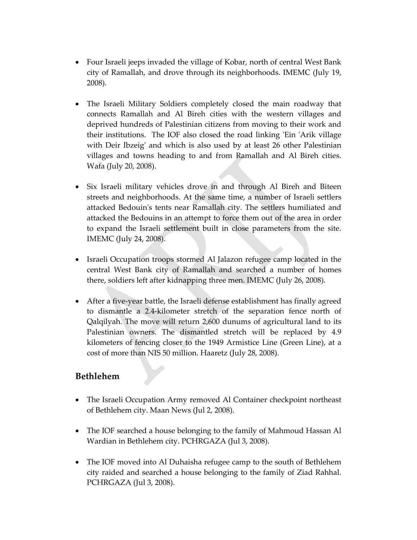- Four Israeli jeeps invaded the village of Kobar, north of central West Bank city of Ramallah, and drove through its neighborhoods. IMEMC (July 19, 2008).
- The Israeli Military Soldiers completely closed the main roadway that connects Ramallah and Al Bireh cities with the western villages and deprived hundreds of Palestinian citizens from moving to their work and their institutions. The IOF also closed the road linking 'Ein 'Arik village with Deir Ibzeig' and which is also used by at least 26 other Palestinian villages and towns heading to and from Ramallah and Al Bireh cities. Wafa (July 20, 2008).
- Six Israeli military vehicles drove in and through Al Bireh and Biteen streets and neighborhoods. At the same time, a number of Israeli settlers attacked Bedouinʹs tents near Ramallah city. The settlers humiliated and attacked the Bedouins in an attempt to force them out of the area in order to expand the Israeli settlement built in close parameters from the site. IMEMC (July 24, 2008).
- Israeli Occupation troops stormed Al Jalazon refugee camp located in the central West Bank city of Ramallah and searched a number of homes there, soldiers left after kidnapping three men. IMEMC (July 26, 2008).
- After a five-year battle, the Israeli defense establishment has finally agreed to dismantle a 2.4‐kilometer stretch of the separation fence north of Qalqilyah. The move will return 2,600 dunums of agricultural land to its Palestinian owners. The dismantled stretch will be replaced by 4.9 kilometers of fencing closer to the 1949 Armistice Line (Green Line), at a cost of more than NIS 50 million. Haaretz (July 28, 2008).

### **Bethlehem**

- The Israeli Occupation Army removed Al Container checkpoint northeast of Bethlehem city. Maan News (Jul 2, 2008).
- The IOF searched a house belonging to the family of Mahmoud Hassan Al Wardian in Bethlehem city. PCHRGAZA (Jul 3, 2008).
- The IOF moved into Al Duhaisha refugee camp to the south of Bethlehem city raided and searched a house belonging to the family of Ziad Rahhal. PCHRGAZA (Jul 3, 2008).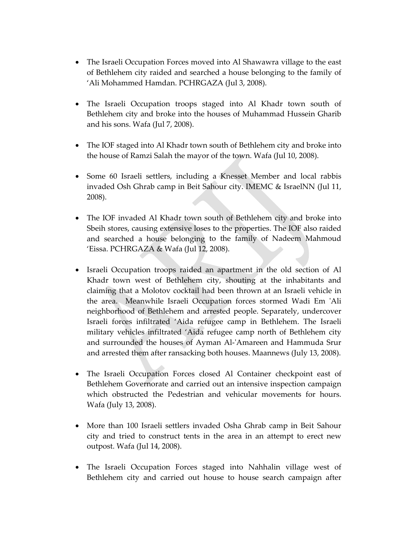- The Israeli Occupation Forces moved into Al Shawawra village to the east of Bethlehem city raided and searched a house belonging to the family of 'Ali Mohammed Hamdan. PCHRGAZA (Jul 3, 2008).
- The Israeli Occupation troops staged into Al Khadr town south of Bethlehem city and broke into the houses of Muhammad Hussein Gharib and his sons. Wafa (Jul 7, 2008).
- The IOF staged into Al Khadr town south of Bethlehem city and broke into the house of Ramzi Salah the mayor of the town. Wafa (Jul 10, 2008).
- Some 60 Israeli settlers, including a Knesset Member and local rabbis invaded Osh Ghrab camp in Beit Sahour city. IMEMC & IsraelNN (Jul 11, 2008).
- The IOF invaded Al Khadr town south of Bethlehem city and broke into Sbeih stores, causing extensive loses to the properties. The IOF also raided and searched a house belonging to the family of Nadeem Mahmoud 'Eissa. PCHRGAZA & Wafa (Jul 12, 2008).
- Israeli Occupation troops raided an apartment in the old section of Al Khadr town west of Bethlehem city, shouting at the inhabitants and claiming that a Molotov cocktail had been thrown at an Israeli vehicle in the area. Meanwhile Israeli Occupation forces stormed Wadi Em 'Ali neighborhood of Bethlehem and arrested people. Separately, undercover Israeli forces infiltrated 'Aida refugee camp in Bethlehem. The Israeli military vehicles infiltrated 'Aida refugee camp north of Bethlehem city and surrounded the houses of Ayman Al-'Amareen and Hammuda Srur and arrested them after ransacking both houses. Maannews (July 13, 2008).
- The Israeli Occupation Forces closed Al Container checkpoint east of Bethlehem Governorate and carried out an intensive inspection campaign which obstructed the Pedestrian and vehicular movements for hours. Wafa (July 13, 2008).
- More than 100 Israeli settlers invaded Osha Ghrab camp in Beit Sahour city and tried to construct tents in the area in an attempt to erect new outpost. Wafa (Jul 14, 2008).
- The Israeli Occupation Forces staged into Nahhalin village west of Bethlehem city and carried out house to house search campaign after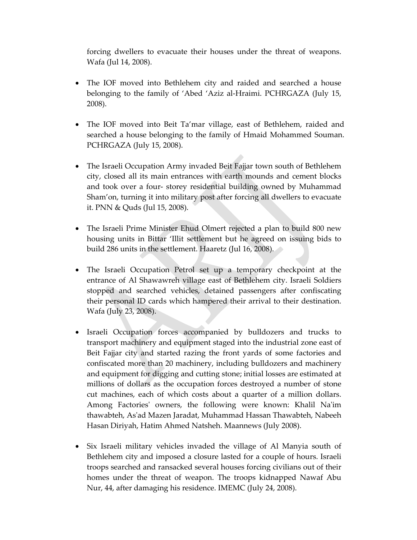forcing dwellers to evacuate their houses under the threat of weapons. Wafa (Jul 14, 2008).

- The IOF moved into Bethlehem city and raided and searched a house belonging to the family of 'Abed 'Aziz al-Hraimi. PCHRGAZA (July 15, 2008).
- The IOF moved into Beit Ta'mar village, east of Bethlehem, raided and searched a house belonging to the family of Hmaid Mohammed Souman. PCHRGAZA (July 15, 2008).
- The Israeli Occupation Army invaded Beit Fajjar town south of Bethlehem city, closed all its main entrances with earth mounds and cement blocks and took over a four‐ storey residential building owned by Muhammad Sham'on, turning it into military post after forcing all dwellers to evacuate it. PNN & Quds (Jul 15, 2008).
- The Israeli Prime Minister Ehud Olmert rejected a plan to build 800 new housing units in Bittar 'Illit settlement but he agreed on issuing bids to build 286 units in the settlement. Haaretz (Jul 16, 2008).
- The Israeli Occupation Petrol set up a temporary checkpoint at the entrance of Al Shawawreh village east of Bethlehem city. Israeli Soldiers stopped and searched vehicles, detained passengers after confiscating their personal ID cards which hampered their arrival to their destination. Wafa (July 23, 2008).
- Israeli Occupation forces accompanied by bulldozers and trucks to transport machinery and equipment staged into the industrial zone east of Beit Fajjar city and started razing the front yards of some factories and confiscated more than 20 machinery, including bulldozers and machinery and equipment for digging and cutting stone; initial losses are estimated at millions of dollars as the occupation forces destroyed a number of stone cut machines, each of which costs about a quarter of a million dollars. Among Factories' owners, the following were known: Khalil Na'im thawabteh, Asʹad Mazen Jaradat, Muhammad Hassan Thawabteh, Nabeeh Hasan Diriyah, Hatim Ahmed Natsheh. Maannews (July 2008).
- Six Israeli military vehicles invaded the village of Al Manyia south of Bethlehem city and imposed a closure lasted for a couple of hours. Israeli troops searched and ransacked several houses forcing civilians out of their homes under the threat of weapon. The troops kidnapped Nawaf Abu Nur, 44, after damaging his residence. IMEMC (July 24, 2008).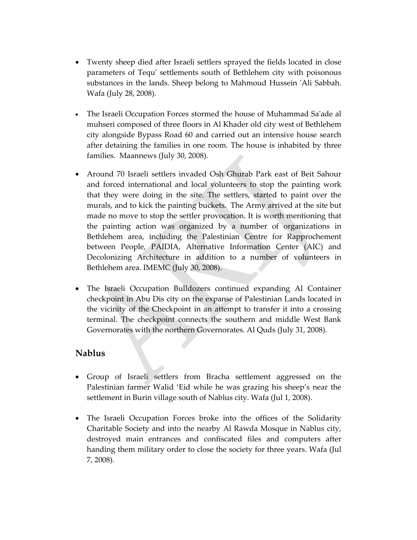- Twenty sheep died after Israeli settlers sprayed the fields located in close parameters of Tequʹ settlements south of Bethlehem city with poisonous substances in the lands. Sheep belong to Mahmoud Hussein 'Ali Sabbah. Wafa (July 28, 2008).
- The Israeli Occupation Forces stormed the house of Muhammad Sa'ade al muhseri composed of three floors in Al Khader old city west of Bethlehem city alongside Bypass Road 60 and carried out an intensive house search after detaining the families in one room. The house is inhabited by three families. Maannews (July 30, 2008).
- Around 70 Israeli settlers invaded Osh Ghurab Park east of Beit Sahour and forced international and local volunteers to stop the painting work that they were doing in the site. The settlers, started to paint over the murals, and to kick the painting buckets. The Army arrived at the site but made no move to stop the settler provocation. It is worth mentioning that the painting action was organized by a number of organizations in Bethlehem area, including the Palestinian Centre for Rapprochement between People, PAIDIA, Alternative Information Center (AIC) and Decolonizing Architecture in addition to a number of volunteers in Bethlehem area. IMEMC (July 30, 2008).
- The Israeli Occupation Bulldozers continued expanding Al Container checkpoint in Abu Dis city on the expanse of Palestinian Lands located in the vicinity of the Checkpoint in an attempt to transfer it into a crossing terminal. The checkpoint connects the southern and middle West Bank Governorates with the northern Governorates. Al Quds (July 31, 2008).

### **Nablus**

- Group of Israeli settlers from Bracha settlement aggressed on the Palestinian farmer Walid 'Eid while he was grazing his sheep's near the settlement in Burin village south of Nablus city. Wafa (Jul 1, 2008).
- The Israeli Occupation Forces broke into the offices of the Solidarity Charitable Society and into the nearby Al Rawda Mosque in Nablus city, destroyed main entrances and confiscated files and computers after handing them military order to close the society for three years. Wafa (Jul 7, 2008).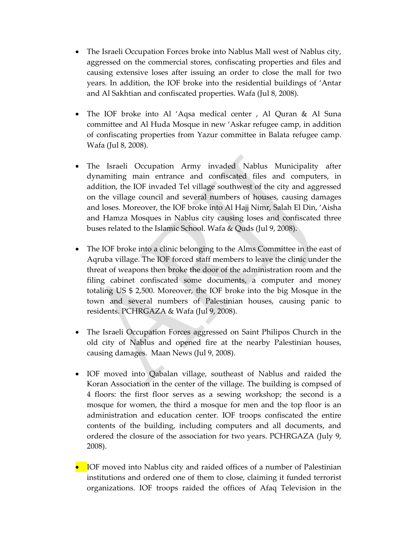- The Israeli Occupation Forces broke into Nablus Mall west of Nablus city, aggressed on the commercial stores, confiscating properties and files and causing extensive loses after issuing an order to close the mall for two years. In addition, the IOF broke into the residential buildings of 'Antar and Al Sakhtian and confiscated properties. Wafa (Jul 8, 2008).
- The IOF broke into Al 'Aqsa medical center, Al Quran & Al Suna committee and Al Huda Mosque in new 'Askar refugee camp, in addition of confiscating properties from Yazur committee in Balata refugee camp. Wafa (Jul 8, 2008).
- The Israeli Occupation Army invaded Nablus Municipality after dynamiting main entrance and confiscated files and computers, in addition, the IOF invaded Tel village southwest of the city and aggressed on the village council and several numbers of houses, causing damages and loses. Moreover, the IOF broke into Al Hajj Nimr, Salah El Din, 'Aisha and Hamza Mosques in Nablus city causing loses and confiscated three buses related to the Islamic School. Wafa & Quds (Jul 9, 2008).
- The IOF broke into a clinic belonging to the Alms Committee in the east of Aqruba village. The IOF forced staff members to leave the clinic under the threat of weapons then broke the door of the administration room and the filing cabinet confiscated some documents, a computer and money totaling US \$ 2,500. Moreover, the IOF broke into the big Mosque in the town and several numbers of Palestinian houses, causing panic to residents. PCHRGAZA & Wafa (Jul 9, 2008).
- The Israeli Occupation Forces aggressed on Saint Philipos Church in the old city of Nablus and opened fire at the nearby Palestinian houses, causing damages. Maan News (Jul 9, 2008).
- IOF moved into Qabalan village, southeast of Nablus and raided the Koran Association in the center of the village. The building is compsed of 4 floors: the first floor serves as a sewing workshop; the second is a mosque for women, the third a mosque for men and the top floor is an administration and education center. IOF troops confiscated the entire contents of the building, including computers and all documents, and ordered the closure of the association for two years. PCHRGAZA (July 9, 2008).
- IOF moved into Nablus city and raided offices of a number of Palestinian institutions and ordered one of them to close, claiming it funded terrorist organizations. IOF troops raided the offices of Afaq Television in the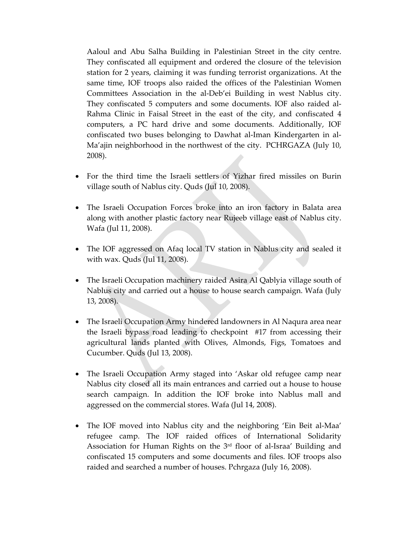Aaloul and Abu Salha Building in Palestinian Street in the city centre. They confiscated all equipment and ordered the closure of the television station for 2 years, claiming it was funding terrorist organizations. At the same time, IOF troops also raided the offices of the Palestinian Women Committees Association in the al‐Deb'ei Building in west Nablus city. They confiscated 5 computers and some documents. IOF also raided al‐ Rahma Clinic in Faisal Street in the east of the city, and confiscated 4 computers, a PC hard drive and some documents. Additionally, IOF confiscated two buses belonging to Dawhat al‐Iman Kindergarten in al‐ Ma'ajin neighborhood in the northwest of the city. PCHRGAZA (July 10, 2008).

- For the third time the Israeli settlers of Yizhar fired missiles on Burin village south of Nablus city. Quds (Jul 10, 2008).
- The Israeli Occupation Forces broke into an iron factory in Balata area along with another plastic factory near Rujeeb village east of Nablus city. Wafa (Jul 11, 2008).
- The IOF aggressed on Afaq local TV station in Nablus city and sealed it with wax. Quds (Jul 11, 2008).
- The Israeli Occupation machinery raided Asira Al Qablyia village south of Nablus city and carried out a house to house search campaign. Wafa (July 13, 2008).
- The Israeli Occupation Army hindered landowners in Al Naqura area near the Israeli bypass road leading to checkpoint #17 from accessing their agricultural lands planted with Olives, Almonds, Figs, Tomatoes and Cucumber. Quds (Jul 13, 2008).
- The Israeli Occupation Army staged into 'Askar old refugee camp near Nablus city closed all its main entrances and carried out a house to house search campaign. In addition the IOF broke into Nablus mall and aggressed on the commercial stores. Wafa (Jul 14, 2008).
- The IOF moved into Nablus city and the neighboring 'Ein Beit al-Maa' refugee camp. The IOF raided offices of International Solidarity Association for Human Rights on the  $3<sup>rd</sup>$  floor of al-Israa' Building and confiscated 15 computers and some documents and files. IOF troops also raided and searched a number of houses. Pchrgaza (July 16, 2008).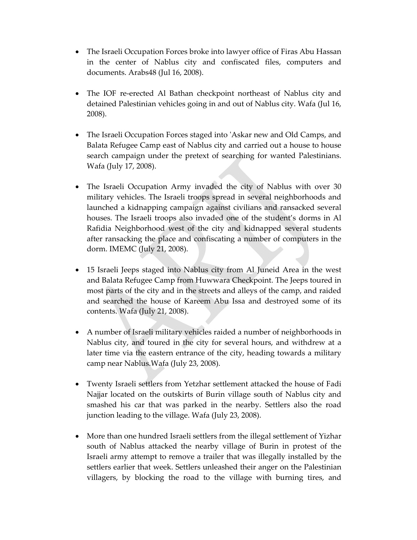- The Israeli Occupation Forces broke into lawyer office of Firas Abu Hassan in the center of Nablus city and confiscated files, computers and documents. Arabs48 (Jul 16, 2008).
- The IOF re-erected Al Bathan checkpoint northeast of Nablus city and detained Palestinian vehicles going in and out of Nablus city. Wafa (Jul 16, 2008).
- The Israeli Occupation Forces staged into 'Askar new and Old Camps, and Balata Refugee Camp east of Nablus city and carried out a house to house search campaign under the pretext of searching for wanted Palestinians. Wafa (July 17, 2008).
- The Israeli Occupation Army invaded the city of Nablus with over 30 military vehicles. The Israeli troops spread in several neighborhoods and launched a kidnapping campaign against civilians and ransacked several houses. The Israeli troops also invaded one of the student's dorms in Al Rafidia Neighborhood west of the city and kidnapped several students after ransacking the place and confiscating a number of computers in the dorm. IMEMC (July 21, 2008).
- 15 Israeli Jeeps staged into Nablus city from Al Juneid Area in the west and Balata Refugee Camp from Huwwara Checkpoint. The Jeeps toured in most parts of the city and in the streets and alleys of the camp, and raided and searched the house of Kareem Abu Issa and destroyed some of its contents. Wafa (July 21, 2008).
- A number of Israeli military vehicles raided a number of neighborhoods in Nablus city, and toured in the city for several hours, and withdrew at a later time via the eastern entrance of the city, heading towards a military camp near Nablus.Wafa (July 23, 2008).
- Twenty Israeli settlers from Yetzhar settlement attacked the house of Fadi Najjar located on the outskirts of Burin village south of Nablus city and smashed his car that was parked in the nearby. Settlers also the road junction leading to the village. Wafa (July 23, 2008).
- More than one hundred Israeli settlers from the illegal settlement of Yizhar south of Nablus attacked the nearby village of Burin in protest of the Israeli army attempt to remove a trailer that was illegally installed by the settlers earlier that week. Settlers unleashed their anger on the Palestinian villagers, by blocking the road to the village with burning tires, and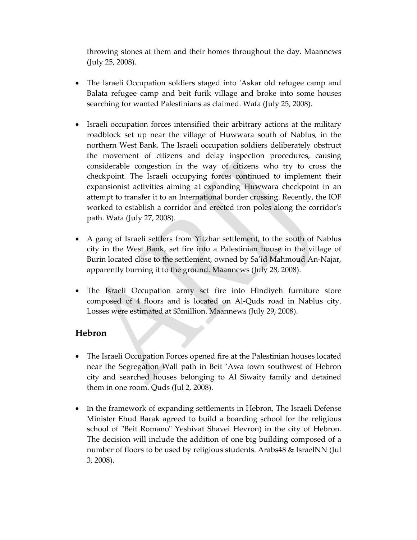throwing stones at them and their homes throughout the day. Maannews (July 25, 2008).

- The Israeli Occupation soldiers staged into 'Askar old refugee camp and Balata refugee camp and beit furik village and broke into some houses searching for wanted Palestinians as claimed. Wafa (July 25, 2008).
- Israeli occupation forces intensified their arbitrary actions at the military roadblock set up near the village of Huwwara south of Nablus, in the northern West Bank. The Israeli occupation soldiers deliberately obstruct the movement of citizens and delay inspection procedures, causing considerable congestion in the way of citizens who try to cross the checkpoint. The Israeli occupying forces continued to implement their expansionist activities aiming at expanding Huwwara checkpoint in an attempt to transfer it to an International border crossing. Recently, the IOF worked to establish a corridor and erected iron poles along the corridorʹs path. Wafa (July 27, 2008).
- A gang of Israeli settlers from Yitzhar settlement, to the south of Nablus city in the West Bank, set fire into a Palestinian house in the village of Burin located close to the settlement, owned by Sa'id Mahmoud An‐Najar, apparently burning it to the ground. Maannews (July 28, 2008).
- The Israeli Occupation army set fire into Hindiyeh furniture store composed of 4 floors and is located on Al‐Quds road in Nablus city. Losses were estimated at \$3million. Maannews (July 29, 2008).

### **Hebron**

- The Israeli Occupation Forces opened fire at the Palestinian houses located near the Segregation Wall path in Beit 'Awa town southwest of Hebron city and searched houses belonging to Al Siwaity family and detained them in one room. Quds (Jul 2, 2008).
- In the framework of expanding settlements in Hebron, The Israeli Defense Minister Ehud Barak agreed to build a boarding school for the religious school of "Beit Romano" Yeshivat Shavei Hevron) in the city of Hebron. The decision will include the addition of one big building composed of a number of floors to be used by religious students. Arabs48 & IsraelNN (Jul 3, 2008).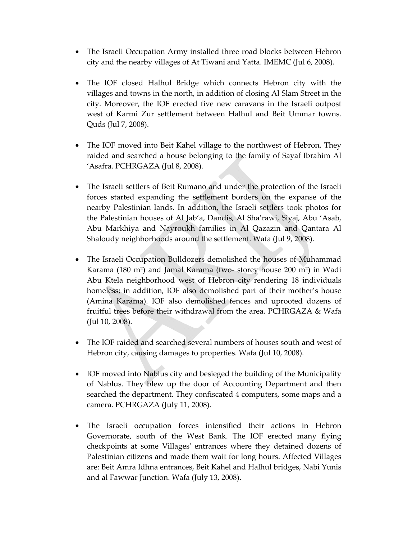- The Israeli Occupation Army installed three road blocks between Hebron city and the nearby villages of At Tiwani and Yatta. IMEMC (Jul 6, 2008).
- The IOF closed Halhul Bridge which connects Hebron city with the villages and towns in the north, in addition of closing Al Slam Street in the city. Moreover, the IOF erected five new caravans in the Israeli outpost west of Karmi Zur settlement between Halhul and Beit Ummar towns. Quds (Jul 7, 2008).
- The IOF moved into Beit Kahel village to the northwest of Hebron. They raided and searched a house belonging to the family of Sayaf Ibrahim Al 'Asafra. PCHRGAZA (Jul 8, 2008).
- The Israeli settlers of Beit Rumano and under the protection of the Israeli forces started expanding the settlement borders on the expanse of the nearby Palestinian lands. In addition, the Israeli settlers took photos for the Palestinian houses of Al Jab'a, Dandis, Al Sha'rawi, Siyaj, Abu 'Asab, Abu Markhiya and Nayroukh families in Al Qazazin and Qantara Al Shaloudy neighborhoods around the settlement. Wafa (Jul 9, 2008).
- The Israeli Occupation Bulldozers demolished the houses of Muhammad Karama (180 m²) and Jamal Karama (two‐ storey house 200 m²) in Wadi Abu Ktela neighborhood west of Hebron city rendering 18 individuals homeless; in addition, IOF also demolished part of their mother's house (Amina Karama). IOF also demolished fences and uprooted dozens of fruitful trees before their withdrawal from the area. PCHRGAZA & Wafa (Jul 10, 2008).
- The IOF raided and searched several numbers of houses south and west of Hebron city, causing damages to properties. Wafa (Jul 10, 2008).
- IOF moved into Nablus city and besieged the building of the Municipality of Nablus. They blew up the door of Accounting Department and then searched the department. They confiscated 4 computers, some maps and a camera. PCHRGAZA (July 11, 2008).
- The Israeli occupation forces intensified their actions in Hebron Governorate, south of the West Bank. The IOF erected many flying checkpoints at some Villagesʹ entrances where they detained dozens of Palestinian citizens and made them wait for long hours. Affected Villages are: Beit Amra Idhna entrances, Beit Kahel and Halhul bridges, Nabi Yunis and al Fawwar Junction. Wafa (July 13, 2008).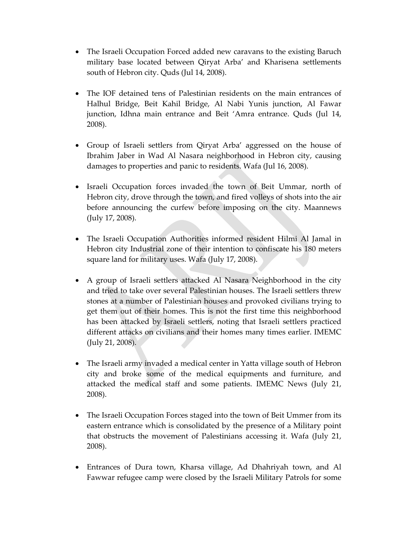- The Israeli Occupation Forced added new caravans to the existing Baruch military base located between Qiryat Arba' and Kharisena settlements south of Hebron city. Quds (Jul 14, 2008).
- The IOF detained tens of Palestinian residents on the main entrances of Halhul Bridge, Beit Kahil Bridge, Al Nabi Yunis junction, Al Fawar junction, Idhna main entrance and Beit 'Amra entrance. Quds (Jul 14, 2008).
- Group of Israeli settlers from Qiryat Arba' aggressed on the house of Ibrahim Jaber in Wad Al Nasara neighborhood in Hebron city, causing damages to properties and panic to residents. Wafa (Jul 16, 2008).
- Israeli Occupation forces invaded the town of Beit Ummar, north of Hebron city, drove through the town, and fired volleys of shots into the air before announcing the curfew before imposing on the city. Maannews (July 17, 2008).
- The Israeli Occupation Authorities informed resident Hilmi Al Jamal in Hebron city Industrial zone of their intention to confiscate his 180 meters square land for military uses. Wafa (July 17, 2008).
- A group of Israeli settlers attacked Al Nasara Neighborhood in the city and tried to take over several Palestinian houses. The Israeli settlers threw stones at a number of Palestinian houses and provoked civilians trying to get them out of their homes. This is not the first time this neighborhood has been attacked by Israeli settlers, noting that Israeli settlers practiced different attacks on civilians and their homes many times earlier. IMEMC (July 21, 2008).
- The Israeli army invaded a medical center in Yatta village south of Hebron city and broke some of the medical equipments and furniture, and attacked the medical staff and some patients. IMEMC News (July 21, 2008).
- The Israeli Occupation Forces staged into the town of Beit Ummer from its eastern entrance which is consolidated by the presence of a Military point that obstructs the movement of Palestinians accessing it. Wafa (July 21, 2008).
- Entrances of Dura town, Kharsa village, Ad Dhahriyah town, and Al Fawwar refugee camp were closed by the Israeli Military Patrols for some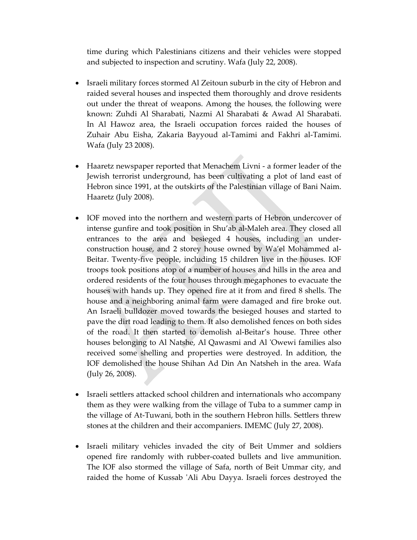time during which Palestinians citizens and their vehicles were stopped and subjected to inspection and scrutiny. Wafa (July 22, 2008).

- Israeli military forces stormed Al Zeitoun suburb in the city of Hebron and raided several houses and inspected them thoroughly and drove residents out under the threat of weapons. Among the houses, the following were known: Zuhdi Al Sharabati, Nazmi Al Sharabati & Awad Al Sharabati. In Al Hawoz area, the Israeli occupation forces raided the houses of Zuhair Abu Eisha, Zakaria Bayyoud al‐Tamimi and Fakhri al‐Tamimi. Wafa (July 23 2008).
- Haaretz newspaper reported that Menachem Livni a former leader of the Jewish terrorist underground, has been cultivating a plot of land east of Hebron since 1991, at the outskirts of the Palestinian village of Bani Naim. Haaretz (July 2008).
- IOF moved into the northern and western parts of Hebron undercover of intense gunfire and took position in Shu'ab al‐Maleh area. They closed all entrances to the area and besieged 4 houses, including an under‐ construction house, and 2 storey house owned by Wa'el Mohammed al‐ Beitar. Twenty‐five people, including 15 children live in the houses. IOF troops took positions atop of a number of houses and hills in the area and ordered residents of the four houses through megaphones to evacuate the houses with hands up. They opened fire at it from and fired 8 shells. The house and a neighboring animal farm were damaged and fire broke out. An Israeli bulldozer moved towards the besieged houses and started to pave the dirt road leading to them. It also demolished fences on both sides of the road. It then started to demolish al‐Beitar's house. Three other houses belonging to Al Natshe, Al Qawasmi and Al ʹOwewi families also received some shelling and properties were destroyed. In addition, the IOF demolished the house Shihan Ad Din An Natsheh in the area. Wafa (July 26, 2008).
- Israeli settlers attacked school children and internationals who accompany them as they were walking from the village of Tuba to a summer camp in the village of At‐Tuwani, both in the southern Hebron hills. Settlers threw stones at the children and their accompaniers. IMEMC (July 27, 2008).
- Israeli military vehicles invaded the city of Beit Ummer and soldiers opened fire randomly with rubber‐coated bullets and live ammunition. The IOF also stormed the village of Safa, north of Beit Ummar city, and raided the home of Kussab 'Ali Abu Dayya. Israeli forces destroyed the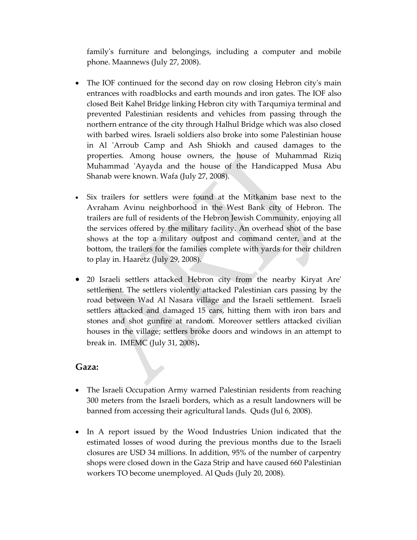familyʹs furniture and belongings, including a computer and mobile phone. Maannews (July 27, 2008).

- The IOF continued for the second day on row closing Hebron city's main entrances with roadblocks and earth mounds and iron gates. The IOF also closed Beit Kahel Bridge linking Hebron city with Tarqumiya terminal and prevented Palestinian residents and vehicles from passing through the northern entrance of the city through Halhul Bridge which was also closed with barbed wires. Israeli soldiers also broke into some Palestinian house in Al 'Arroub Camp and Ash Shiokh and caused damages to the properties. Among house owners, the house of Muhammad Riziq Muhammad ʹAyayda and the house of the Handicapped Musa Abu Shanab were known. Wafa (July 27, 2008).
- Six trailers for settlers were found at the Mitkanim base next to the Avraham Avinu neighborhood in the West Bank city of Hebron. The trailers are full of residents of the Hebron Jewish Community, enjoying all the services offered by the military facility. An overhead shot of the base shows at the top a military outpost and command center, and at the bottom, the trailers for the families complete with yards for their children to play in. Haaretz (July 29, 2008).
- 20 Israeli settlers attacked Hebron city from the nearby Kiryat Areʹ settlement. The settlers violently attacked Palestinian cars passing by the road between Wad Al Nasara village and the Israeli settlement. Israeli settlers attacked and damaged 15 cars, hitting them with iron bars and stones and shot gunfire at random. Moreover settlers attacked civilian houses in the village; settlers broke doors and windows in an attempt to break in. IMEMC (July 31, 2008)**.**

#### **Gaza:**

- The Israeli Occupation Army warned Palestinian residents from reaching 300 meters from the Israeli borders, which as a result landowners will be banned from accessing their agricultural lands. Quds (Jul 6, 2008).
- In A report issued by the Wood Industries Union indicated that the estimated losses of wood during the previous months due to the Israeli closures are USD 34 millions. In addition, 95% of the number of carpentry shops were closed down in the Gaza Strip and have caused 660 Palestinian workers TO become unemployed. Al Quds (July 20, 2008).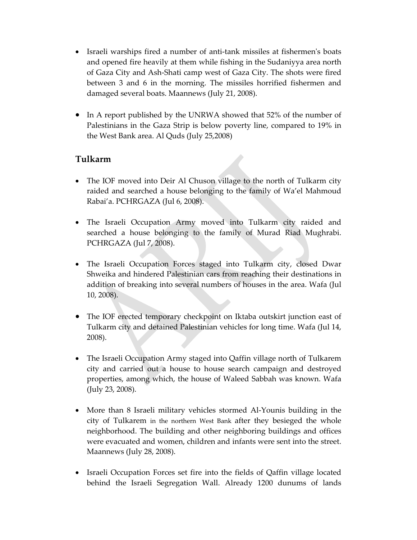- Israeli warships fired a number of anti-tank missiles at fishermen's boats and opened fire heavily at them while fishing in the Sudaniyya area north of Gaza City and Ash‐Shati camp west of Gaza City. The shots were fired between 3 and 6 in the morning. The missiles horrified fishermen and damaged several boats. Maannews (July 21, 2008).
- In A report published by the UNRWA showed that 52% of the number of Palestinians in the Gaza Strip is below poverty line, compared to 19% in the West Bank area. Al Quds (July 25,2008)

## **Tulkarm**

- The IOF moved into Deir Al Chuson village to the north of Tulkarm city raided and searched a house belonging to the family of Wa'el Mahmoud Rabai'a. PCHRGAZA (Jul 6, 2008).
- The Israeli Occupation Army moved into Tulkarm city raided and searched a house belonging to the family of Murad Riad Mughrabi. PCHRGAZA (Jul 7, 2008).
- The Israeli Occupation Forces staged into Tulkarm city, closed Dwar Shweika and hindered Palestinian cars from reaching their destinations in addition of breaking into several numbers of houses in the area. Wafa (Jul 10, 2008).
- The IOF erected temporary checkpoint on Iktaba outskirt junction east of Tulkarm city and detained Palestinian vehicles for long time. Wafa (Jul 14, 2008).
- The Israeli Occupation Army staged into Qaffin village north of Tulkarem city and carried out a house to house search campaign and destroyed properties, among which, the house of Waleed Sabbah was known. Wafa (July 23, 2008).
- More than 8 Israeli military vehicles stormed Al-Younis building in the city of Tulkarem in the northern West Bank after they besieged the whole neighborhood. The building and other neighboring buildings and offices were evacuated and women, children and infants were sent into the street. Maannews (July 28, 2008).
- Israeli Occupation Forces set fire into the fields of Qaffin village located behind the Israeli Segregation Wall. Already 1200 dunums of lands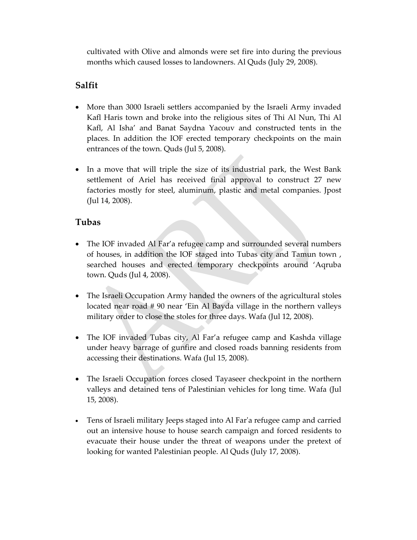cultivated with Olive and almonds were set fire into during the previous months which caused losses to landowners. Al Quds (July 29, 2008).

## **Salfit**

- More than 3000 Israeli settlers accompanied by the Israeli Army invaded Kafl Haris town and broke into the religious sites of Thi Al Nun, Thi Al Kafl, Al Isha' and Banat Saydna Yacouv and constructed tents in the places. In addition the IOF erected temporary checkpoints on the main entrances of the town. Quds (Jul 5, 2008).
- In a move that will triple the size of its industrial park, the West Bank settlement of Ariel has received final approval to construct 27 new factories mostly for steel, aluminum, plastic and metal companies. Jpost (Jul 14, 2008).

## **Tubas**

- The IOF invaded Al Far'a refugee camp and surrounded several numbers of houses, in addition the IOF staged into Tubas city and Tamun town , searched houses and erected temporary checkpoints around 'Aqruba town. Quds (Jul 4, 2008).
- The Israeli Occupation Army handed the owners of the agricultural stoles located near road # 90 near 'Ein Al Bayda village in the northern valleys military order to close the stoles for three days. Wafa (Jul 12, 2008).
- The IOF invaded Tubas city, Al Far'a refugee camp and Kashda village under heavy barrage of gunfire and closed roads banning residents from accessing their destinations. Wafa (Jul 15, 2008).
- The Israeli Occupation forces closed Tayaseer checkpoint in the northern valleys and detained tens of Palestinian vehicles for long time. Wafa (Jul 15, 2008).
- Tens of Israeli military Jeeps staged into Al Far'a refugee camp and carried out an intensive house to house search campaign and forced residents to evacuate their house under the threat of weapons under the pretext of looking for wanted Palestinian people. Al Quds (July 17, 2008).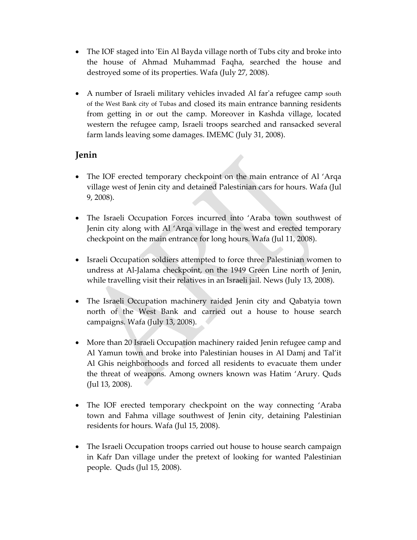- The IOF staged into 'Ein Al Bayda village north of Tubs city and broke into the house of Ahmad Muhammad Faqha, searched the house and destroyed some of its properties. Wafa (July 27, 2008).
- A number of Israeli military vehicles invaded Al far'a refugee camp south of the West Bank city of Tubas and closed its main entrance banning residents from getting in or out the camp. Moreover in Kashda village, located western the refugee camp, Israeli troops searched and ransacked several farm lands leaving some damages. IMEMC (July 31, 2008).

## **Jenin**

- The IOF erected temporary checkpoint on the main entrance of Al 'Arqa village west of Jenin city and detained Palestinian cars for hours. Wafa (Jul 9, 2008).
- The Israeli Occupation Forces incurred into 'Araba town southwest of Jenin city along with Al 'Arqa village in the west and erected temporary checkpoint on the main entrance for long hours. Wafa (Jul 11, 2008).
- Israeli Occupation soldiers attempted to force three Palestinian women to undress at Al‐Jalama checkpoint, on the 1949 Green Line north of Jenin, while travelling visit their relatives in an Israeli jail. News (July 13, 2008).
- The Israeli Occupation machinery raided Jenin city and Qabatyia town north of the West Bank and carried out a house to house search campaigns. Wafa (July 13, 2008).
- More than 20 Israeli Occupation machinery raided Jenin refugee camp and Al Yamun town and broke into Palestinian houses in Al Damj and Tal'it Al Ghis neighborhoods and forced all residents to evacuate them under the threat of weapons. Among owners known was Hatim 'Arury. Quds (Jul 13, 2008).
- The IOF erected temporary checkpoint on the way connecting 'Araba town and Fahma village southwest of Jenin city, detaining Palestinian residents for hours. Wafa (Jul 15, 2008).
- The Israeli Occupation troops carried out house to house search campaign in Kafr Dan village under the pretext of looking for wanted Palestinian people. Quds (Jul 15, 2008).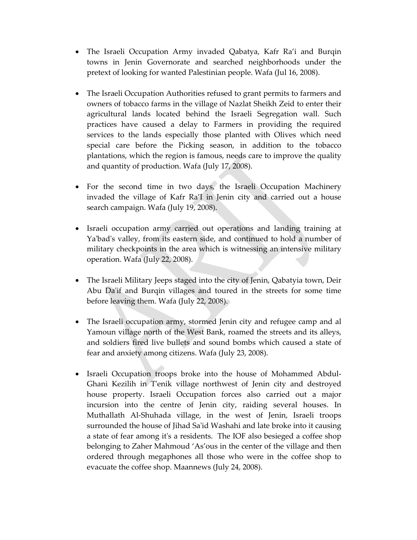- The Israeli Occupation Army invaded Qabatya, Kafr Ra'i and Burqin towns in Jenin Governorate and searched neighborhoods under the pretext of looking for wanted Palestinian people. Wafa (Jul 16, 2008).
- The Israeli Occupation Authorities refused to grant permits to farmers and owners of tobacco farms in the village of Nazlat Sheikh Zeid to enter their agricultural lands located behind the Israeli Segregation wall. Such practices have caused a delay to Farmers in providing the required services to the lands especially those planted with Olives which need special care before the Picking season, in addition to the tobacco plantations, which the region is famous, needs care to improve the quality and quantity of production. Wafa (July 17, 2008).
- For the second time in two days, the Israeli Occupation Machinery invaded the village of Kafr Ra'I in Jenin city and carried out a house search campaign. Wafa (July 19, 2008).
- Israeli occupation army carried out operations and landing training at Ya'bad's valley, from its eastern side, and continued to hold a number of military checkpoints in the area which is witnessing an intensive military operation. Wafa (July 22, 2008).
- The Israeli Military Jeeps staged into the city of Jenin, Qabatyia town, Deir Abu Da'if and Burqin villages and toured in the streets for some time before leaving them. Wafa (July 22, 2008).
- The Israeli occupation army, stormed Jenin city and refugee camp and al Yamoun village north of the West Bank, roamed the streets and its alleys, and soldiers fired live bullets and sound bombs which caused a state of fear and anxiety among citizens. Wafa (July 23, 2008).
- Israeli Occupation troops broke into the house of Mohammed Abdul‐ Ghani Kezilih in Tʹenik village northwest of Jenin city and destroyed house property. Israeli Occupation forces also carried out a major incursion into the centre of Jenin city, raiding several houses. In Muthallath Al‐Shuhada village, in the west of Jenin, Israeli troops surrounded the house of Jihad Saʹid Washahi and late broke into it causing a state of fear among itʹs a residents. The IOF also besieged a coffee shop belonging to Zaher Mahmoud 'As'ous in the center of the village and then ordered through megaphones all those who were in the coffee shop to evacuate the coffee shop. Maannews (July 24, 2008).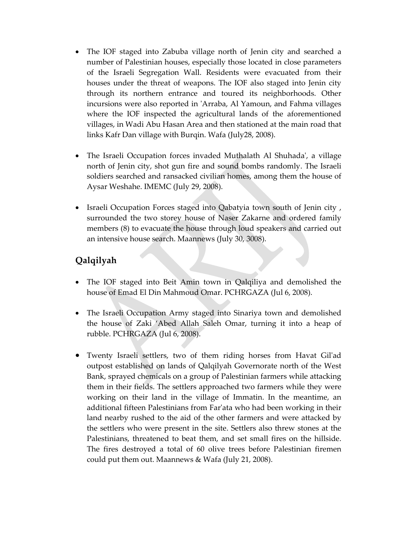- The IOF staged into Zabuba village north of Jenin city and searched a number of Palestinian houses, especially those located in close parameters of the Israeli Segregation Wall. Residents were evacuated from their houses under the threat of weapons. The IOF also staged into Jenin city through its northern entrance and toured its neighborhoods. Other incursions were also reported in ʹArraba, Al Yamoun, and Fahma villages where the IOF inspected the agricultural lands of the aforementioned villages, in Wadi Abu Hasan Area and then stationed at the main road that links Kafr Dan village with Burqin. Wafa (July28, 2008).
- The Israeli Occupation forces invaded Muthalath Al Shuhada', a village north of Jenin city, shot gun fire and sound bombs randomly. The Israeli soldiers searched and ransacked civilian homes, among them the house of Aysar Weshahe. IMEMC (July 29, 2008).
- Israeli Occupation Forces staged into Qabatyia town south of Jenin city , surrounded the two storey house of Naser Zakarne and ordered family members (8) to evacuate the house through loud speakers and carried out an intensive house search. Maannews (July 30, 3008).

# **Qalqilyah**

- The IOF staged into Beit Amin town in Qalqiliya and demolished the house of Emad El Din Mahmoud Omar. PCHRGAZA (Jul 6, 2008).
- The Israeli Occupation Army staged into Sinariya town and demolished the house of Zaki 'Abed Allah Saleh Omar, turning it into a heap of rubble. PCHRGAZA (Jul 6, 2008).
- Twenty Israeli settlers, two of them riding horses from Havat Gilʹad outpost established on lands of Qalqilyah Governorate north of the West Bank, sprayed chemicals on a group of Palestinian farmers while attacking them in their fields. The settlers approached two farmers while they were working on their land in the village of Immatin. In the meantime, an additional fifteen Palestinians from Farʹata who had been working in their land nearby rushed to the aid of the other farmers and were attacked by the settlers who were present in the site. Settlers also threw stones at the Palestinians, threatened to beat them, and set small fires on the hillside. The fires destroyed a total of 60 olive trees before Palestinian firemen could put them out. Maannews & Wafa (July 21, 2008).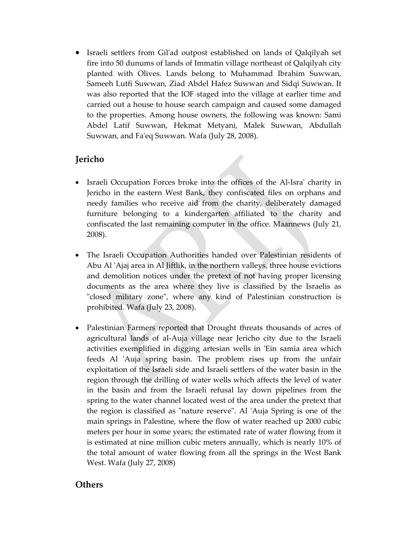• Israeli settlers from Gil'ad outpost established on lands of Qalqilyah set fire into 50 dunums of lands of Immatin village northeast of Qalqilyah city planted with Olives. Lands belong to Muhammad Ibrahim Suwwan, Sameeh Lutfi Suwwan, Ziad Abdel Hafez Suwwan and Sidqi Suwwan. It was also reported that the IOF staged into the village at earlier time and carried out a house to house search campaign and caused some damaged to the properties. Among house owners, the following was known: Sami Abdel Latif Suwwan, Hekmat Metyani, Malek Suwwan, Abdullah Suwwan, and Faʹeq Suwwan. Wafa (July 28, 2008).

## **Jericho**

- Israeli Occupation Forces broke into the offices of the Al-Isra' charity in Jericho in the eastern West Bank, they confiscated files on orphans and needy families who receive aid from the charity, deliberately damaged furniture belonging to a kindergarten affiliated to the charity and confiscated the last remaining computer in the office. Maannews (July 21, 2008).
- The Israeli Occupation Authorities handed over Palestinian residents of Abu Al ʹAjaj area in Al Jiftlik, in the northern valleys, three house evictions and demolition notices under the pretext of not having proper licensing documents as the area where they live is classified by the Israelis as "closed military zone", where any kind of Palestinian construction is prohibited. Wafa (July 23, 2008).
- Palestinian Farmers reported that Drought threats thousands of acres of agricultural lands of al‐Auja village near Jericho city due to the Israeli activities exemplified in digging artesian wells in 'Ein samia area which feeds Al 'Auja spring basin. The problem rises up from the unfair exploitation of the Israeli side and Israeli settlers of the water basin in the region through the drilling of water wells which affects the level of water in the basin and from the Israeli refusal lay down pipelines from the spring to the water channel located west of the area under the pretext that the region is classified as "nature reserve". Al 'Auja Spring is one of the main springs in Palestine, where the flow of water reached up 2000 cubic meters per hour in some years; the estimated rate of water flowing from it is estimated at nine million cubic meters annually, which is nearly 10% of the total amount of water flowing from all the springs in the West Bank West. Wafa (July 27, 2008)

### **Others**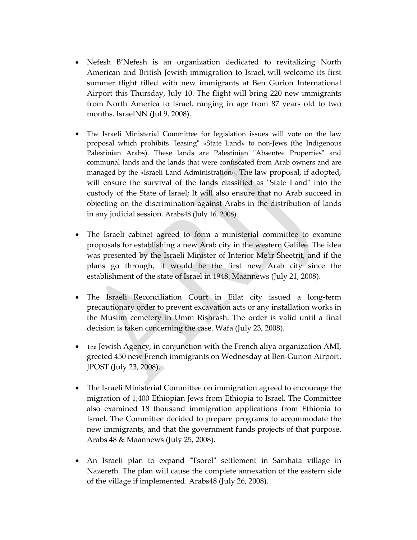- Nefesh B'Nefesh is an organization dedicated to revitalizing North American and British Jewish immigration to Israel, will welcome its first summer flight filled with new immigrants at Ben Gurion International Airport this Thursday, July 10. The flight will bring 220 new immigrants from North America to Israel, ranging in age from 87 years old to two months. IsraelNN (Jul 9, 2008).
- The Israeli Ministerial Committee for legislation issues will vote on the law proposal which prohibits "leasing" «State Land» to non-Jews (the Indigenous Palestinian Arabs). These lands are Palestinian "Absentee Properties" and communal lands and the lands that were confiscated from Arab owners and are managed by the «Israeli Land Administration». The law proposal, if adopted, will ensure the survival of the lands classified as "State Land" into the custody of the State of Israel; It will also ensure that no Arab succeed in objecting on the discrimination against Arabs in the distribution of lands in any judicial session. Arabs48 (July 16, 2008).
- The Israeli cabinet agreed to form a ministerial committee to examine proposals for establishing a new Arab city in the western Galilee. The idea was presented by the Israeli Minister of Interior Meʹir Sheetrit, and if the plans go through, it would be the first new Arab city since the establishment of the state of Israel in 1948. Maannews (July 21, 2008).
- The Israeli Reconciliation Court in Eilat city issued a long-term precautionary order to prevent excavation acts or any installation works in the Muslim cemetery in Umm Rishrash. The order is valid until a final decision is taken concerning the case. Wafa (July 23, 2008).
- The Jewish Agency, in conjunction with the French aliya organization AMI, greeted 450 new French immigrants on Wednesday at Ben‐Gurion Airport. JPOST (July 23, 2008).
- The Israeli Ministerial Committee on immigration agreed to encourage the migration of 1,400 Ethiopian Jews from Ethiopia to Israel. The Committee also examined 18 thousand immigration applications from Ethiopia to Israel. The Committee decided to prepare programs to accommodate the new immigrants, and that the government funds projects of that purpose. Arabs 48 & Maannews (July 25, 2008).
- An Israeli plan to expand "Tsorel" settlement in Samhata village in Nazereth. The plan will cause the complete annexation of the eastern side of the village if implemented. Arabs48 (July 26, 2008).